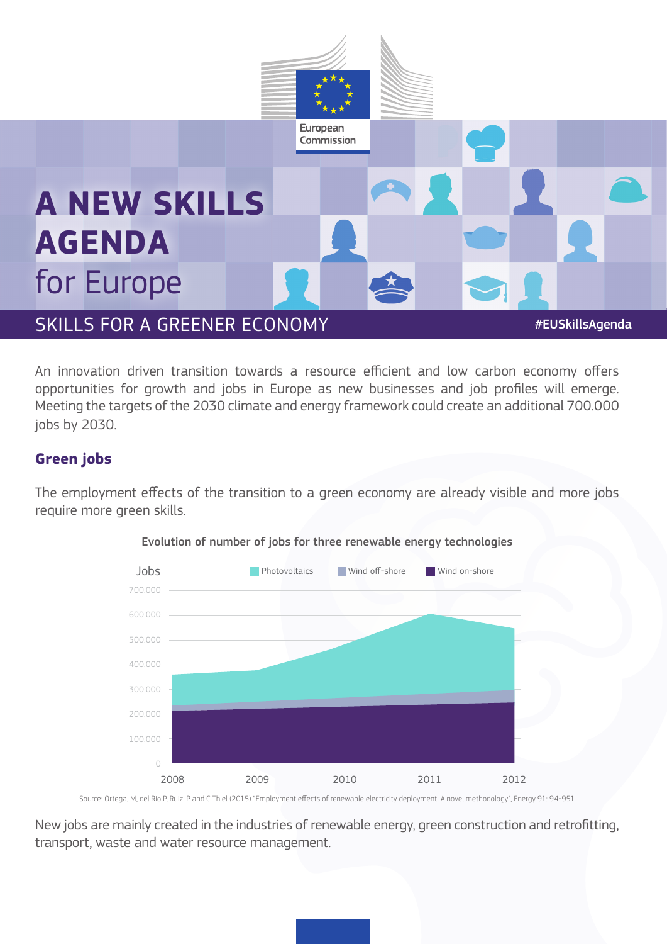

An innovation driven transition towards a resource efficient and low carbon economy offers opportunities for growth and jobs in Europe as new businesses and job profiles will emerge. Meeting the targets of the 2030 climate and energy framework could create an additional 700.000 jobs by 2030.

## **Green jobs**

The employment effects of the transition to a green economy are already visible and more jobs require more green skills.



Evolution of number of jobs for three renewable energy technologies

Source: Ortega, M, del Rio P, Ruiz, P and C Thiel (2015) "Employment effects of renewable electricity deployment. A novel methodology", Energy 91: 94-951

New jobs are mainly created in the industries of renewable energy, green construction and retrofitting, transport, waste and water resource management.